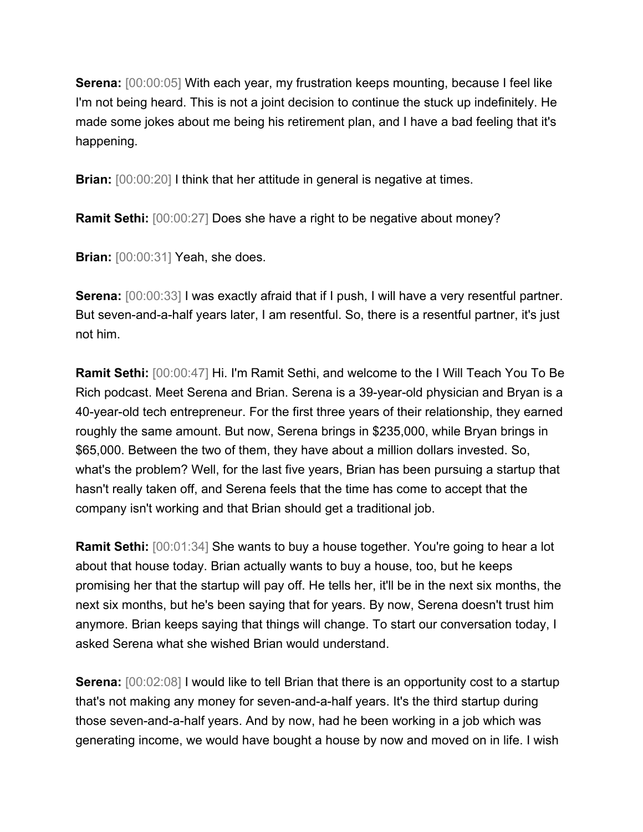**Serena:** [00:00:05] With each year, my frustration keeps mounting, because I feel like I'm not being heard. This is not a joint decision to continue the stuck up indefinitely. He made some jokes about me being his retirement plan, and I have a bad feeling that it's happening.

**Brian:** [00:00:20] I think that her attitude in general is negative at times.

**Ramit Sethi:** [00:00:27] Does she have a right to be negative about money?

**Brian:**  $[00:00:31]$  Yeah, she does.

**Serena:**  $[00:00:33]$  I was exactly afraid that if I push, I will have a very resentful partner. But seven-and-a-half years later, I am resentful. So, there is a resentful partner, it's just not him.

**Ramit Sethi:** [00:00:47] Hi. I'm Ramit Sethi, and welcome to the I Will Teach You To Be Rich podcast. Meet Serena and Brian. Serena is a 39-year-old physician and Bryan is a 40-year-old tech entrepreneur. For the first three years of their relationship, they earned roughly the same amount. But now, Serena brings in \$235,000, while Bryan brings in \$65,000. Between the two of them, they have about a million dollars invested. So, what's the problem? Well, for the last five years, Brian has been pursuing a startup that hasn't really taken off, and Serena feels that the time has come to accept that the company isn't working and that Brian should get a traditional job.

**Ramit Sethi:** [00:01:34] She wants to buy a house together. You're going to hear a lot about that house today. Brian actually wants to buy a house, too, but he keeps promising her that the startup will pay off. He tells her, it'll be in the next six months, the next six months, but he's been saying that for years. By now, Serena doesn't trust him anymore. Brian keeps saying that things will change. To start our conversation today, I asked Serena what she wished Brian would understand.

**Serena:** [00:02:08] I would like to tell Brian that there is an opportunity cost to a startup that's not making any money for seven-and-a-half years. It's the third startup during those seven-and-a-half years. And by now, had he been working in a job which was generating income, we would have bought a house by now and moved on in life. I wish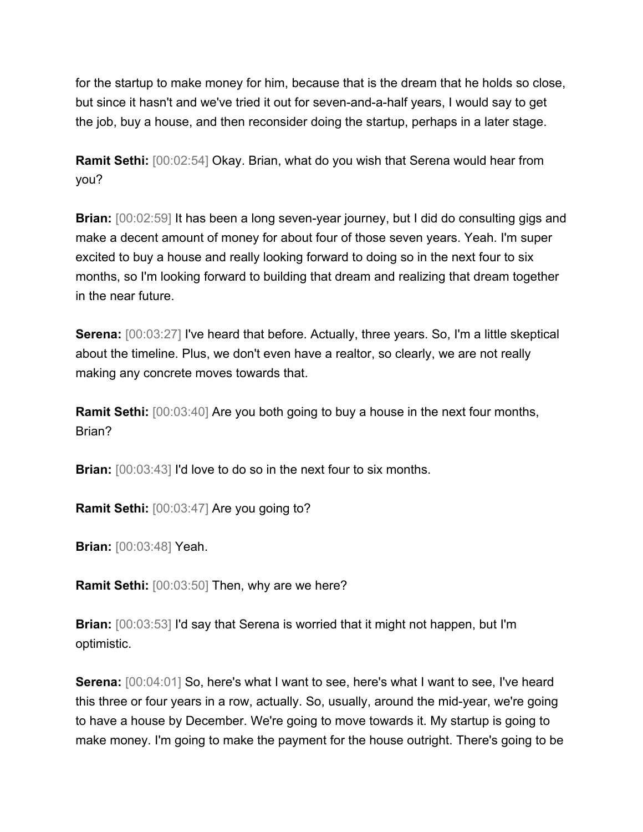for the startup to make money for him, because that is the dream that he holds so close, but since it hasn't and we've tried it out for seven-and-a-half years, I would say to get the job, buy a house, and then reconsider doing the startup, perhaps in a later stage.

**Ramit Sethi:** [00:02:54] Okay. Brian, what do you wish that Serena would hear from you?

**Brian:** [00:02:59] It has been a long seven-year journey, but I did do consulting gigs and make a decent amount of money for about four of those seven years. Yeah. I'm super excited to buy a house and really looking forward to doing so in the next four to six months, so I'm looking forward to building that dream and realizing that dream together in the near future.

**Serena:** [00:03:27] I've heard that before. Actually, three years. So, I'm a little skeptical about the timeline. Plus, we don't even have a realtor, so clearly, we are not really making any concrete moves towards that.

**Ramit Sethi:** [00:03:40] Are you both going to buy a house in the next four months, Brian?

**Brian:**  $[00:03:43]$  I'd love to do so in the next four to six months.

**Ramit Sethi:** [00:03:47] Are you going to?

**Brian:** [00:03:48] Yeah.

**Ramit Sethi:** [00:03:50] Then, why are we here?

**Brian:** [00:03:53] I'd say that Serena is worried that it might not happen, but I'm optimistic.

**Serena:** [00:04:01] So, here's what I want to see, here's what I want to see, I've heard this three or four years in a row, actually. So, usually, around the mid-year, we're going to have a house by December. We're going to move towards it. My startup is going to make money. I'm going to make the payment for the house outright. There's going to be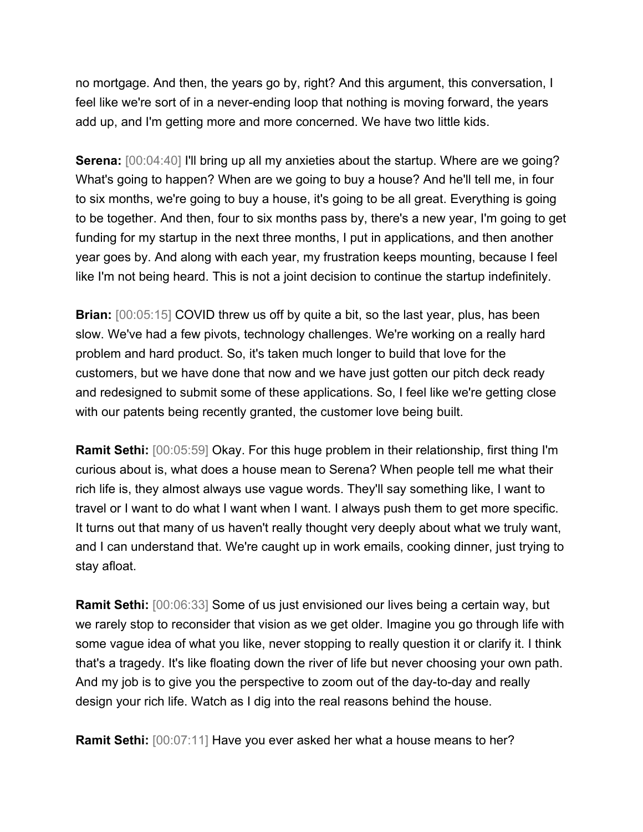no mortgage. And then, the years go by, right? And this argument, this conversation, I feel like we're sort of in a never-ending loop that nothing is moving forward, the years add up, and I'm getting more and more concerned. We have two little kids.

**Serena:** [00:04:40] I'll bring up all my anxieties about the startup. Where are we going? What's going to happen? When are we going to buy a house? And he'll tell me, in four to six months, we're going to buy a house, it's going to be all great. Everything is going to be together. And then, four to six months pass by, there's a new year, I'm going to get funding for my startup in the next three months, I put in applications, and then another year goes by. And along with each year, my frustration keeps mounting, because I feel like I'm not being heard. This is not a joint decision to continue the startup indefinitely.

**Brian:**  $[00:05:15]$  COVID threw us off by quite a bit, so the last year, plus, has been slow. We've had a few pivots, technology challenges. We're working on a really hard problem and hard product. So, it's taken much longer to build that love for the customers, but we have done that now and we have just gotten our pitch deck ready and redesigned to submit some of these applications. So, I feel like we're getting close with our patents being recently granted, the customer love being built.

**Ramit Sethi:** [00:05:59] Okay. For this huge problem in their relationship, first thing I'm curious about is, what does a house mean to Serena? When people tell me what their rich life is, they almost always use vague words. They'll say something like, I want to travel or I want to do what I want when I want. I always push them to get more specific. It turns out that many of us haven't really thought very deeply about what we truly want, and I can understand that. We're caught up in work emails, cooking dinner, just trying to stay afloat.

**Ramit Sethi:** [00:06:33] Some of us just envisioned our lives being a certain way, but we rarely stop to reconsider that vision as we get older. Imagine you go through life with some vague idea of what you like, never stopping to really question it or clarify it. I think that's a tragedy. It's like floating down the river of life but never choosing your own path. And my job is to give you the perspective to zoom out of the day-to-day and really design your rich life. Watch as I dig into the real reasons behind the house.

**Ramit Sethi:** [00:07:11] Have you ever asked her what a house means to her?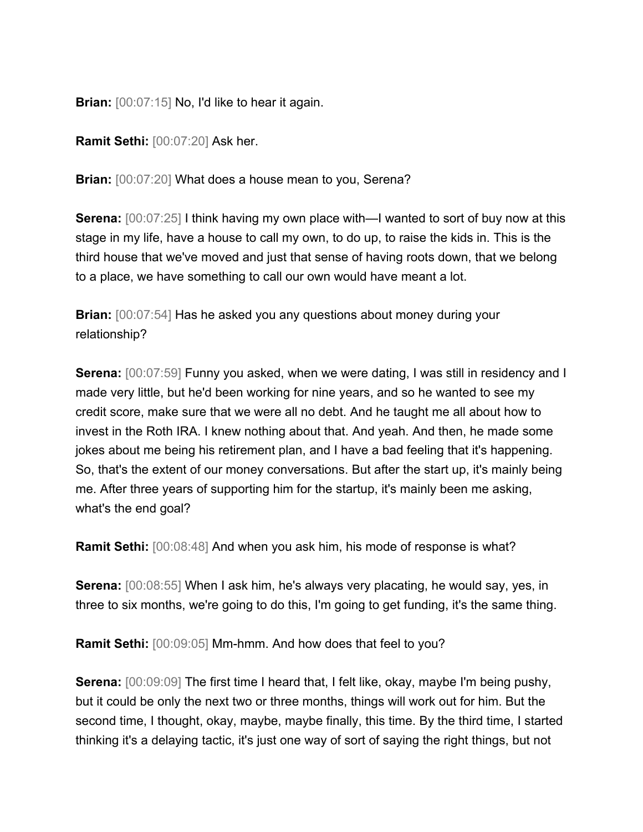**Brian:** [00:07:15] No, I'd like to hear it again.

**Ramit Sethi:** [00:07:20] Ask her.

**Brian:** [00:07:20] What does a house mean to you, Serena?

**Serena:** [00:07:25] I think having my own place with—I wanted to sort of buy now at this stage in my life, have a house to call my own, to do up, to raise the kids in. This is the third house that we've moved and just that sense of having roots down, that we belong to a place, we have something to call our own would have meant a lot.

**Brian:** [00:07:54] Has he asked you any questions about money during your relationship?

**Serena:** [00:07:59] Funny you asked, when we were dating, I was still in residency and I made very little, but he'd been working for nine years, and so he wanted to see my credit score, make sure that we were all no debt. And he taught me all about how to invest in the Roth IRA. I knew nothing about that. And yeah. And then, he made some jokes about me being his retirement plan, and I have a bad feeling that it's happening. So, that's the extent of our money conversations. But after the start up, it's mainly being me. After three years of supporting him for the startup, it's mainly been me asking, what's the end goal?

**Ramit Sethi:** [00:08:48] And when you ask him, his mode of response is what?

**Serena:** [00:08:55] When I ask him, he's always very placating, he would say, yes, in three to six months, we're going to do this, I'm going to get funding, it's the same thing.

**Ramit Sethi:** [00:09:05] Mm-hmm. And how does that feel to you?

**Serena:** [00:09:09] The first time I heard that, I felt like, okay, maybe I'm being pushy, but it could be only the next two or three months, things will work out for him. But the second time, I thought, okay, maybe, maybe finally, this time. By the third time, I started thinking it's a delaying tactic, it's just one way of sort of saying the right things, but not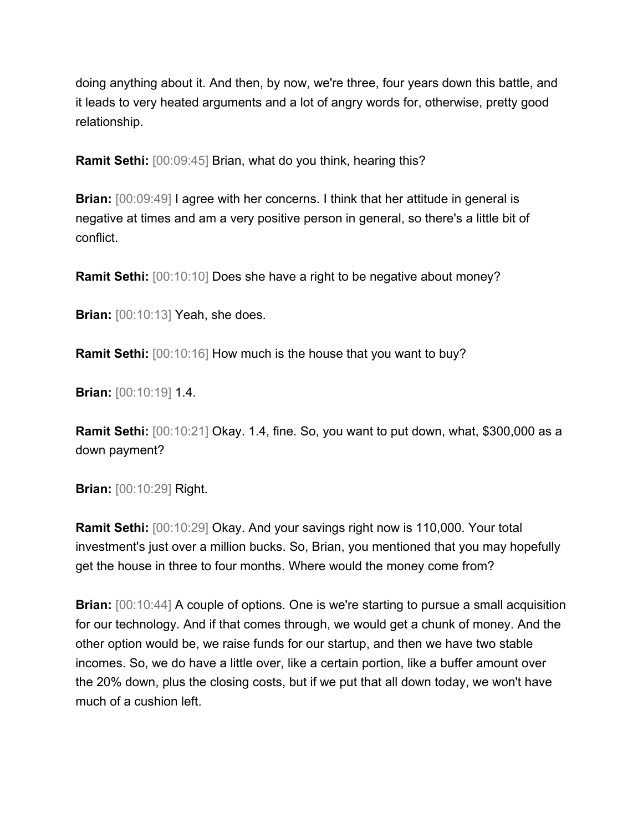doing anything about it. And then, by now, we're three, four years down this battle, and it leads to very heated arguments and a lot of angry words for, otherwise, pretty good relationship.

**Ramit Sethi:** [00:09:45] Brian, what do you think, hearing this?

**Brian:**  $[00:09:49]$  I agree with her concerns. I think that her attitude in general is negative at times and am a very positive person in general, so there's a little bit of conflict.

**Ramit Sethi:**  $[00:10:10]$  Does she have a right to be negative about money?

**Brian:** [00:10:13] Yeah, she does.

**Ramit Sethi:**  $[00:10:16]$  How much is the house that you want to buy?

**Brian:** [00:10:19] 1.4.

**Ramit Sethi:** [00:10:21] Okay. 1.4, fine. So, you want to put down, what, \$300,000 as a down payment?

**Brian:** [00:10:29] Right.

**Ramit Sethi:** [00:10:29] Okay. And your savings right now is 110,000. Your total investment's just over a million bucks. So, Brian, you mentioned that you may hopefully get the house in three to four months. Where would the money come from?

**Brian:**  $[00:10:44]$  A couple of options. One is we're starting to pursue a small acquisition for our technology. And if that comes through, we would get a chunk of money. And the other option would be, we raise funds for our startup, and then we have two stable incomes. So, we do have a little over, like a certain portion, like a buffer amount over the 20% down, plus the closing costs, but if we put that all down today, we won't have much of a cushion left.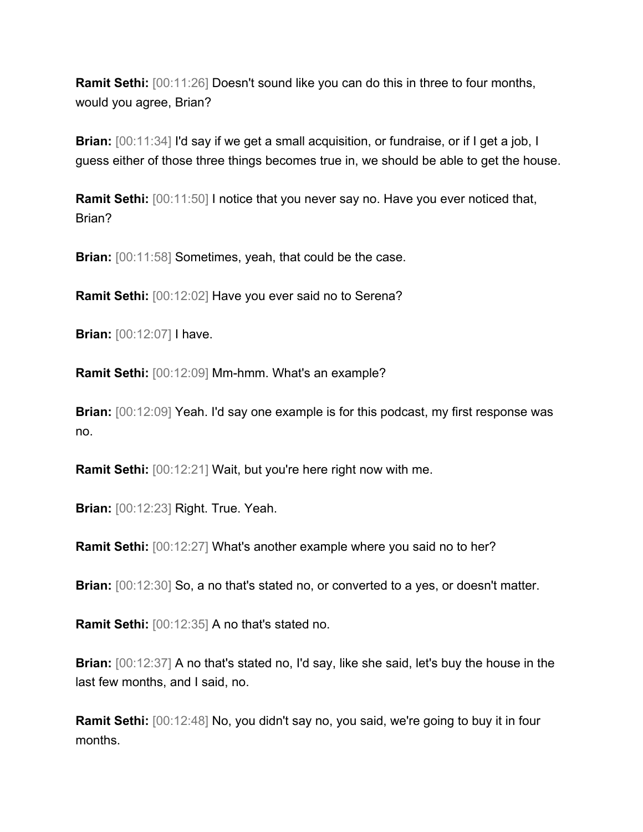**Ramit Sethi:**  $[00:11:26]$  Doesn't sound like you can do this in three to four months, would you agree, Brian?

**Brian:**  $[00:11:34]$  I'd say if we get a small acquisition, or fundraise, or if I get a job, I guess either of those three things becomes true in, we should be able to get the house.

**Ramit Sethi:** [00:11:50] I notice that you never say no. Have you ever noticed that, Brian?

**Brian:**  $[00:11:58]$  Sometimes, yeah, that could be the case.

**Ramit Sethi:** [00:12:02] Have you ever said no to Serena?

**Brian:** [00:12:07] I have.

**Ramit Sethi:** [00:12:09] Mm-hmm. What's an example?

**Brian:**  $[00:12:09]$  Yeah. I'd say one example is for this podcast, my first response was no.

**Ramit Sethi:** [00:12:21] Wait, but you're here right now with me.

**Brian:** [00:12:23] Right. True. Yeah.

**Ramit Sethi:** [00:12:27] What's another example where you said no to her?

**Brian:**  $[00:12:30]$  So, a no that's stated no, or converted to a yes, or doesn't matter.

**Ramit Sethi:** [00:12:35] A no that's stated no.

**Brian:** [00:12:37] A no that's stated no, I'd say, like she said, let's buy the house in the last few months, and I said, no.

**Ramit Sethi:** [00:12:48] No, you didn't say no, you said, we're going to buy it in four months.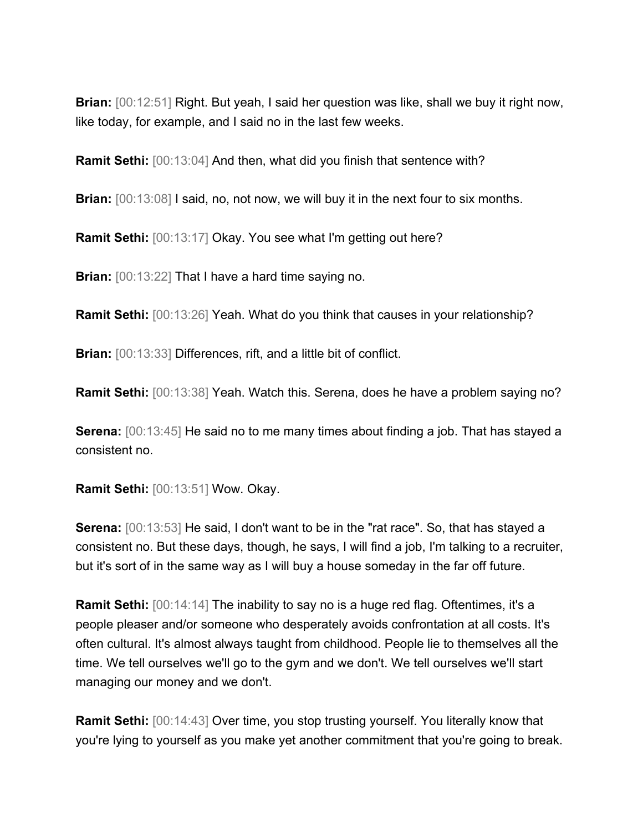**Brian:** [00:12:51] Right. But yeah, I said her question was like, shall we buy it right now, like today, for example, and I said no in the last few weeks.

**Ramit Sethi:** [00:13:04] And then, what did you finish that sentence with?

**Brian:**  $[00:13:08]$  I said, no, not now, we will buy it in the next four to six months.

**Ramit Sethi:** [00:13:17] Okay. You see what I'm getting out here?

**Brian:** [00:13:22] That I have a hard time saying no.

**Ramit Sethi:** [00:13:26] Yeah. What do you think that causes in your relationship?

**Brian:** [00:13:33] Differences, rift, and a little bit of conflict.

**Ramit Sethi:** [00:13:38] Yeah. Watch this. Serena, does he have a problem saying no?

**Serena:** [00:13:45] He said no to me many times about finding a job. That has stayed a consistent no.

**Ramit Sethi:** [00:13:51] Wow. Okay.

**Serena:** [00:13:53] He said, I don't want to be in the "rat race". So, that has stayed a consistent no. But these days, though, he says, I will find a job, I'm talking to a recruiter, but it's sort of in the same way as I will buy a house someday in the far off future.

**Ramit Sethi:** [00:14:14] The inability to say no is a huge red flag. Oftentimes, it's a people pleaser and/or someone who desperately avoids confrontation at all costs. It's often cultural. It's almost always taught from childhood. People lie to themselves all the time. We tell ourselves we'll go to the gym and we don't. We tell ourselves we'll start managing our money and we don't.

**Ramit Sethi:** [00:14:43] Over time, you stop trusting yourself. You literally know that you're lying to yourself as you make yet another commitment that you're going to break.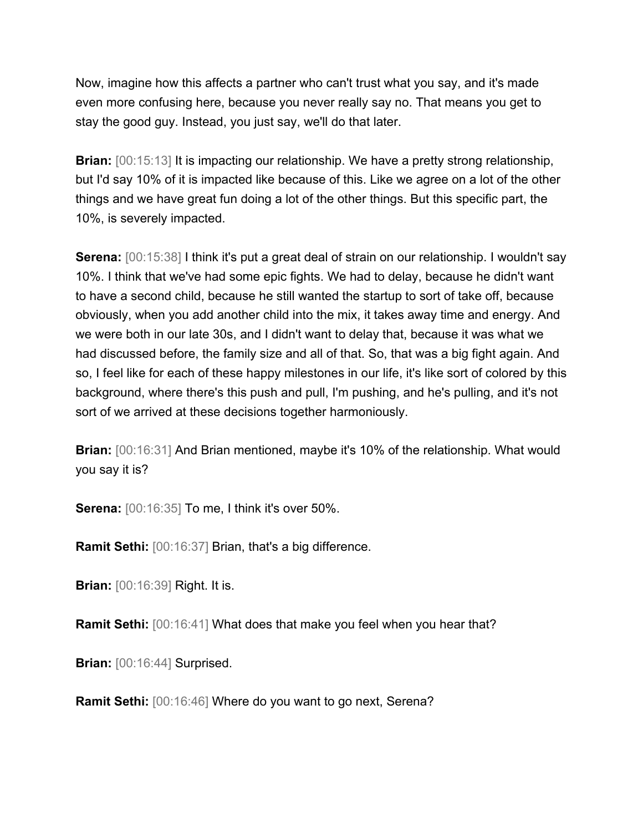Now, imagine how this affects a partner who can't trust what you say, and it's made even more confusing here, because you never really say no. That means you get to stay the good guy. Instead, you just say, we'll do that later.

**Brian:**  $[00:15:13]$  It is impacting our relationship. We have a pretty strong relationship, but I'd say 10% of it is impacted like because of this. Like we agree on a lot of the other things and we have great fun doing a lot of the other things. But this specific part, the 10%, is severely impacted.

**Serena:**  $[00:15:38]$  I think it's put a great deal of strain on our relationship. I wouldn't say 10%. I think that we've had some epic fights. We had to delay, because he didn't want to have a second child, because he still wanted the startup to sort of take off, because obviously, when you add another child into the mix, it takes away time and energy. And we were both in our late 30s, and I didn't want to delay that, because it was what we had discussed before, the family size and all of that. So, that was a big fight again. And so, I feel like for each of these happy milestones in our life, it's like sort of colored by this background, where there's this push and pull, I'm pushing, and he's pulling, and it's not sort of we arrived at these decisions together harmoniously.

**Brian:**  $[00:16:31]$  And Brian mentioned, maybe it's 10% of the relationship. What would you say it is?

**Serena:** [00:16:35] To me, I think it's over 50%.

**Ramit Sethi:** [00:16:37] Brian, that's a big difference.

**Brian:** [00:16:39] Right. It is.

**Ramit Sethi:** [00:16:41] What does that make you feel when you hear that?

**Brian:** [00:16:44] Surprised.

**Ramit Sethi:** [00:16:46] Where do you want to go next, Serena?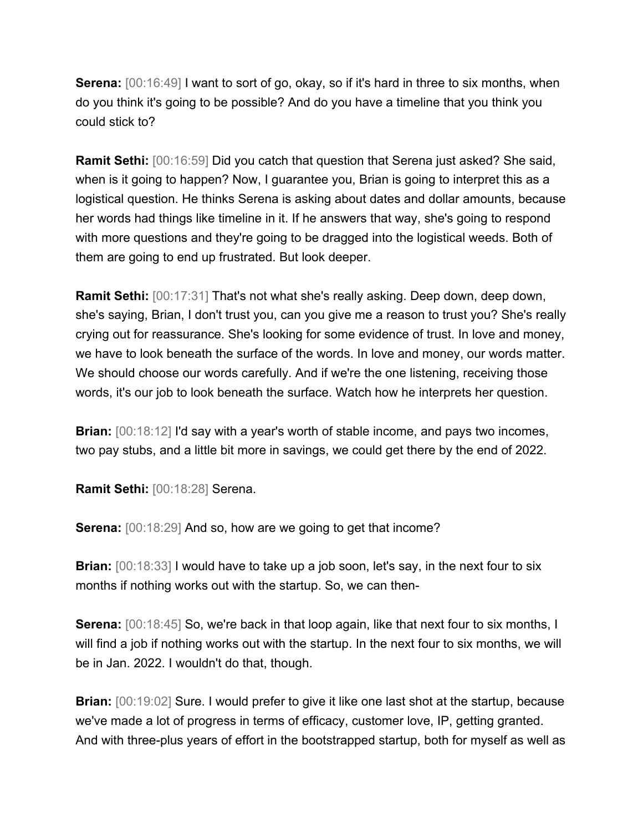**Serena:**  $[00:16:49]$  I want to sort of go, okay, so if it's hard in three to six months, when do you think it's going to be possible? And do you have a timeline that you think you could stick to?

**Ramit Sethi:** [00:16:59] Did you catch that question that Serena just asked? She said, when is it going to happen? Now, I guarantee you, Brian is going to interpret this as a logistical question. He thinks Serena is asking about dates and dollar amounts, because her words had things like timeline in it. If he answers that way, she's going to respond with more questions and they're going to be dragged into the logistical weeds. Both of them are going to end up frustrated. But look deeper.

**Ramit Sethi:** [00:17:31] That's not what she's really asking. Deep down, deep down, she's saying, Brian, I don't trust you, can you give me a reason to trust you? She's really crying out for reassurance. She's looking for some evidence of trust. In love and money, we have to look beneath the surface of the words. In love and money, our words matter. We should choose our words carefully. And if we're the one listening, receiving those words, it's our job to look beneath the surface. Watch how he interprets her question.

**Brian:** [00:18:12] I'd say with a year's worth of stable income, and pays two incomes, two pay stubs, and a little bit more in savings, we could get there by the end of 2022.

**Ramit Sethi:** [00:18:28] Serena.

**Serena:** [00:18:29] And so, how are we going to get that income?

**Brian:**  $[00:18:33]$  I would have to take up a job soon, let's say, in the next four to six months if nothing works out with the startup. So, we can then-

**Serena:**  $[00:18:45]$  So, we're back in that loop again, like that next four to six months, I will find a job if nothing works out with the startup. In the next four to six months, we will be in Jan. 2022. I wouldn't do that, though.

**Brian:** [00:19:02] Sure. I would prefer to give it like one last shot at the startup, because we've made a lot of progress in terms of efficacy, customer love, IP, getting granted. And with three-plus years of effort in the bootstrapped startup, both for myself as well as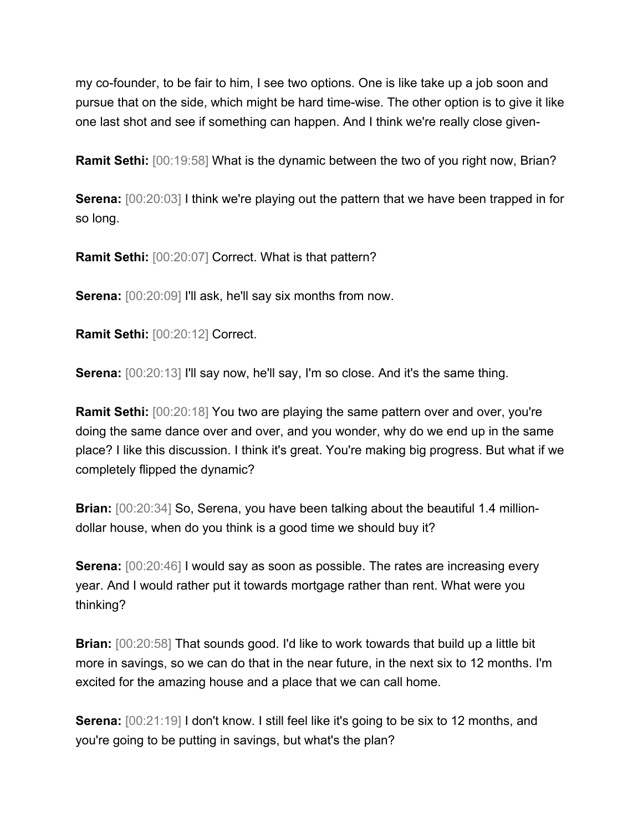my co-founder, to be fair to him, I see two options. One is like take up a job soon and pursue that on the side, which might be hard time-wise. The other option is to give it like one last shot and see if something can happen. And I think we're really close given-

**Ramit Sethi:** [00:19:58] What is the dynamic between the two of you right now, Brian?

**Serena:** [00:20:03] I think we're playing out the pattern that we have been trapped in for so long.

**Ramit Sethi:** [00:20:07] Correct. What is that pattern?

**Serena:**  $[00:20:09]$  I'll ask, he'll say six months from now.

**Ramit Sethi:** [00:20:12] Correct.

**Serena:**  $[00:20:13]$  I'll say now, he'll say, I'm so close. And it's the same thing.

**Ramit Sethi:** [00:20:18] You two are playing the same pattern over and over, you're doing the same dance over and over, and you wonder, why do we end up in the same place? I like this discussion. I think it's great. You're making big progress. But what if we completely flipped the dynamic?

**Brian:**  $[00:20:34]$  So, Serena, you have been talking about the beautiful 1.4 milliondollar house, when do you think is a good time we should buy it?

**Serena:**  $[00:20:46]$  I would say as soon as possible. The rates are increasing every year. And I would rather put it towards mortgage rather than rent. What were you thinking?

**Brian:** [00:20:58] That sounds good. I'd like to work towards that build up a little bit more in savings, so we can do that in the near future, in the next six to 12 months. I'm excited for the amazing house and a place that we can call home.

**Serena:** [00:21:19] I don't know. I still feel like it's going to be six to 12 months, and you're going to be putting in savings, but what's the plan?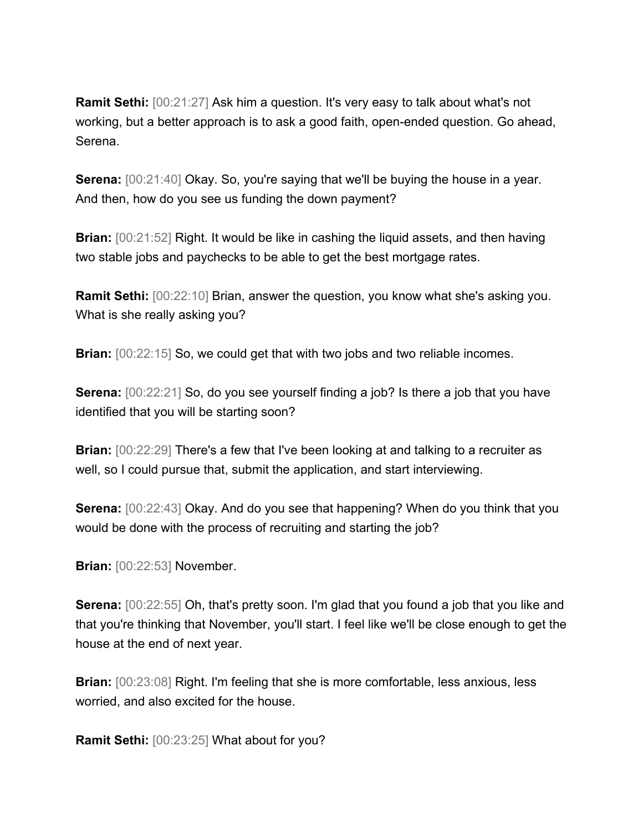**Ramit Sethi:** [00:21:27] Ask him a question. It's very easy to talk about what's not working, but a better approach is to ask a good faith, open-ended question. Go ahead, Serena.

**Serena:** [00:21:40] Okay. So, you're saying that we'll be buying the house in a year. And then, how do you see us funding the down payment?

**Brian:** [00:21:52] Right. It would be like in cashing the liquid assets, and then having two stable jobs and paychecks to be able to get the best mortgage rates.

**Ramit Sethi:** [00:22:10] Brian, answer the question, you know what she's asking you. What is she really asking you?

**Brian:**  $[00:22:15]$  So, we could get that with two jobs and two reliable incomes.

**Serena:** [00:22:21] So, do you see yourself finding a job? Is there a job that you have identified that you will be starting soon?

**Brian:**  $[00:22:29]$  There's a few that I've been looking at and talking to a recruiter as well, so I could pursue that, submit the application, and start interviewing.

**Serena:** [00:22:43] Okay. And do you see that happening? When do you think that you would be done with the process of recruiting and starting the job?

**Brian:** [00:22:53] November.

**Serena:** [00:22:55] Oh, that's pretty soon. I'm glad that you found a job that you like and that you're thinking that November, you'll start. I feel like we'll be close enough to get the house at the end of next year.

**Brian:**  $[00:23:08]$  Right. I'm feeling that she is more comfortable, less anxious, less worried, and also excited for the house.

**Ramit Sethi:** [00:23:25] What about for you?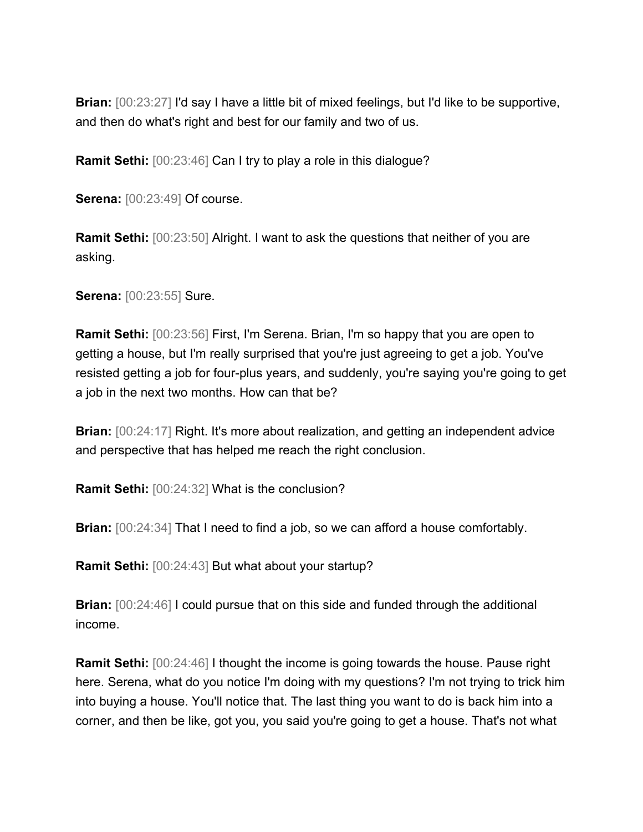**Brian:** [00:23:27] I'd say I have a little bit of mixed feelings, but I'd like to be supportive, and then do what's right and best for our family and two of us.

**Ramit Sethi:** [00:23:46] Can I try to play a role in this dialogue?

**Serena:** [00:23:49] Of course.

**Ramit Sethi:** [00:23:50] Alright. I want to ask the questions that neither of you are asking.

**Serena:** [00:23:55] Sure.

**Ramit Sethi:** [00:23:56] First, I'm Serena. Brian, I'm so happy that you are open to getting a house, but I'm really surprised that you're just agreeing to get a job. You've resisted getting a job for four-plus years, and suddenly, you're saying you're going to get a job in the next two months. How can that be?

**Brian:** [00:24:17] Right. It's more about realization, and getting an independent advice and perspective that has helped me reach the right conclusion.

**Ramit Sethi:** [00:24:32] What is the conclusion?

**Brian:** [00:24:34] That I need to find a job, so we can afford a house comfortably.

**Ramit Sethi:** [00:24:43] But what about your startup?

**Brian:** [00:24:46] I could pursue that on this side and funded through the additional income.

**Ramit Sethi:** [00:24:46] I thought the income is going towards the house. Pause right here. Serena, what do you notice I'm doing with my questions? I'm not trying to trick him into buying a house. You'll notice that. The last thing you want to do is back him into a corner, and then be like, got you, you said you're going to get a house. That's not what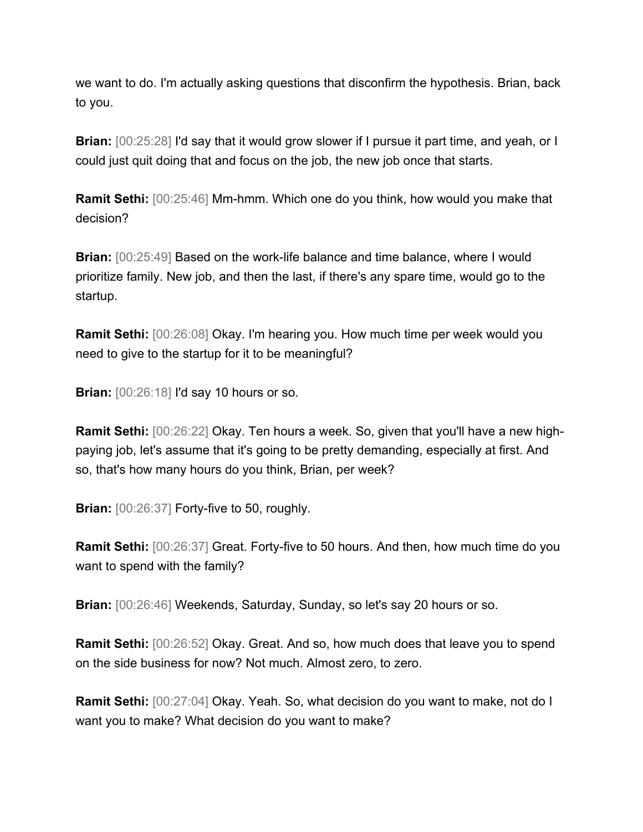we want to do. I'm actually asking questions that disconfirm the hypothesis. Brian, back to you.

**Brian:** [00:25:28] I'd say that it would grow slower if I pursue it part time, and yeah, or I could just quit doing that and focus on the job, the new job once that starts.

**Ramit Sethi:** [00:25:46] Mm-hmm. Which one do you think, how would you make that decision?

**Brian:** [00:25:49] Based on the work-life balance and time balance, where I would prioritize family. New job, and then the last, if there's any spare time, would go to the startup.

**Ramit Sethi:** [00:26:08] Okay. I'm hearing you. How much time per week would you need to give to the startup for it to be meaningful?

**Brian:** [00:26:18] I'd say 10 hours or so.

**Ramit Sethi:** [00:26:22] Okay. Ten hours a week. So, given that you'll have a new highpaying job, let's assume that it's going to be pretty demanding, especially at first. And so, that's how many hours do you think, Brian, per week?

**Brian:** [00:26:37] Forty-five to 50, roughly.

**Ramit Sethi:** [00:26:37] Great. Forty-five to 50 hours. And then, how much time do you want to spend with the family?

**Brian:** [00:26:46] Weekends, Saturday, Sunday, so let's say 20 hours or so.

**Ramit Sethi:** [00:26:52] Okay. Great. And so, how much does that leave you to spend on the side business for now? Not much. Almost zero, to zero.

**Ramit Sethi:** [00:27:04] Okay. Yeah. So, what decision do you want to make, not do I want you to make? What decision do you want to make?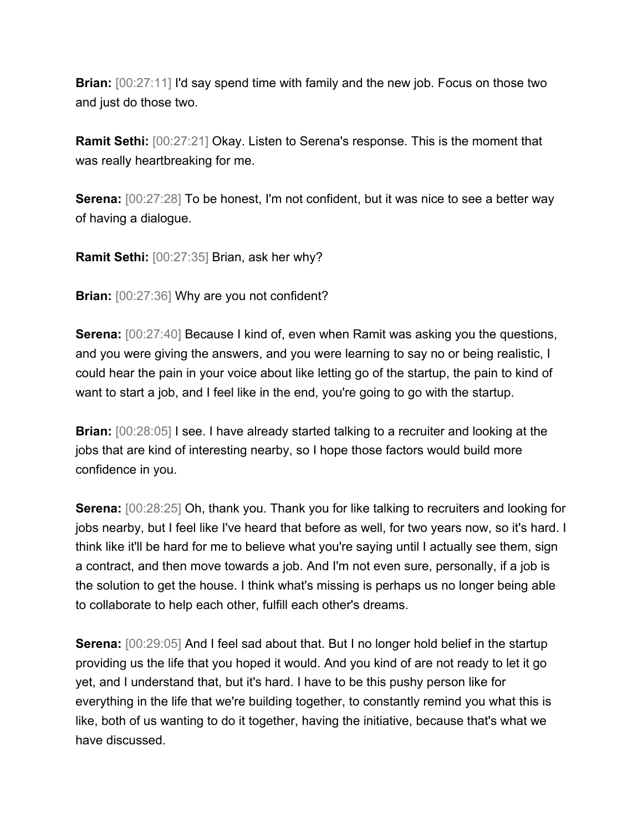**Brian:** [00:27:11] I'd say spend time with family and the new job. Focus on those two and just do those two.

**Ramit Sethi:** [00:27:21] Okay. Listen to Serena's response. This is the moment that was really heartbreaking for me.

**Serena:** [00:27:28] To be honest, I'm not confident, but it was nice to see a better way of having a dialogue.

**Ramit Sethi:** [00:27:35] Brian, ask her why?

**Brian:** [00:27:36] Why are you not confident?

**Serena:** [00:27:40] Because I kind of, even when Ramit was asking you the questions, and you were giving the answers, and you were learning to say no or being realistic, I could hear the pain in your voice about like letting go of the startup, the pain to kind of want to start a job, and I feel like in the end, you're going to go with the startup.

**Brian:** [00:28:05] I see. I have already started talking to a recruiter and looking at the jobs that are kind of interesting nearby, so I hope those factors would build more confidence in you.

**Serena:** [00:28:25] Oh, thank you. Thank you for like talking to recruiters and looking for jobs nearby, but I feel like I've heard that before as well, for two years now, so it's hard. I think like it'll be hard for me to believe what you're saying until I actually see them, sign a contract, and then move towards a job. And I'm not even sure, personally, if a job is the solution to get the house. I think what's missing is perhaps us no longer being able to collaborate to help each other, fulfill each other's dreams.

**Serena:**  $[00:29:05]$  And I feel sad about that. But I no longer hold belief in the startup providing us the life that you hoped it would. And you kind of are not ready to let it go yet, and I understand that, but it's hard. I have to be this pushy person like for everything in the life that we're building together, to constantly remind you what this is like, both of us wanting to do it together, having the initiative, because that's what we have discussed.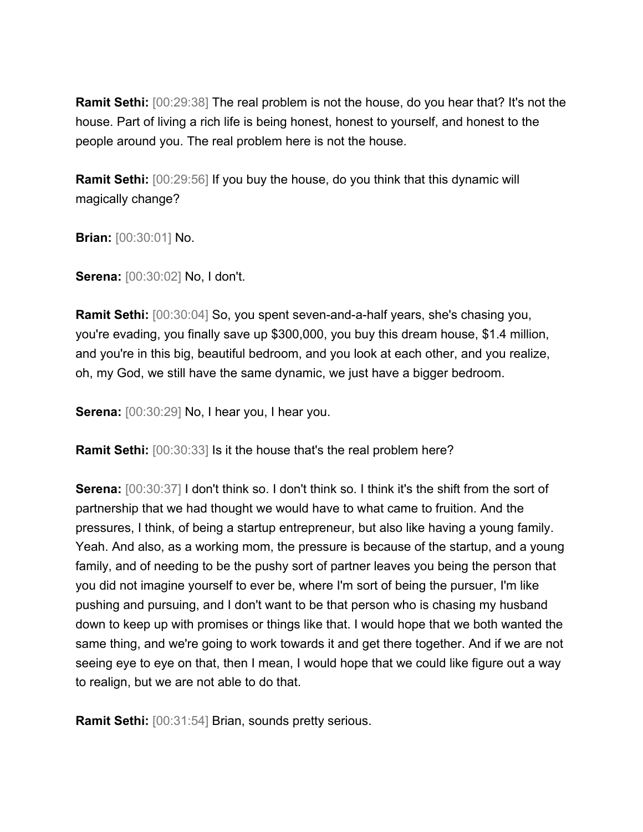**Ramit Sethi:** [00:29:38] The real problem is not the house, do you hear that? It's not the house. Part of living a rich life is being honest, honest to yourself, and honest to the people around you. The real problem here is not the house.

**Ramit Sethi:** [00:29:56] If you buy the house, do you think that this dynamic will magically change?

**Brian:** [00:30:01] No.

**Serena:** [00:30:02] No, I don't.

**Ramit Sethi:** [00:30:04] So, you spent seven-and-a-half years, she's chasing you, you're evading, you finally save up \$300,000, you buy this dream house, \$1.4 million, and you're in this big, beautiful bedroom, and you look at each other, and you realize, oh, my God, we still have the same dynamic, we just have a bigger bedroom.

**Serena:** [00:30:29] No, I hear you, I hear you.

**Ramit Sethi:** [00:30:33] Is it the house that's the real problem here?

**Serena:**  $[00:30:37]$  I don't think so. I don't think so. I think it's the shift from the sort of partnership that we had thought we would have to what came to fruition. And the pressures, I think, of being a startup entrepreneur, but also like having a young family. Yeah. And also, as a working mom, the pressure is because of the startup, and a young family, and of needing to be the pushy sort of partner leaves you being the person that you did not imagine yourself to ever be, where I'm sort of being the pursuer, I'm like pushing and pursuing, and I don't want to be that person who is chasing my husband down to keep up with promises or things like that. I would hope that we both wanted the same thing, and we're going to work towards it and get there together. And if we are not seeing eye to eye on that, then I mean, I would hope that we could like figure out a way to realign, but we are not able to do that.

**Ramit Sethi:** [00:31:54] Brian, sounds pretty serious.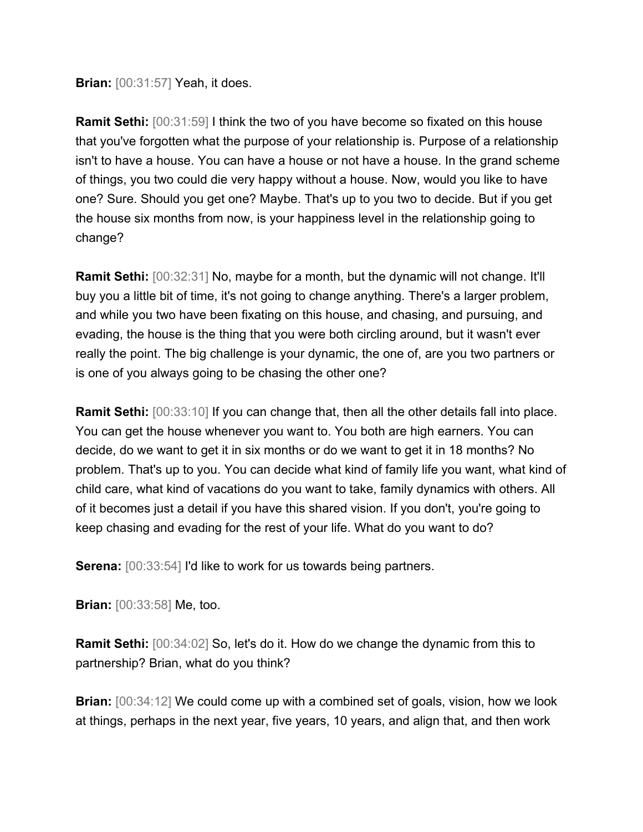**Brian:** [00:31:57] Yeah, it does.

**Ramit Sethi:** [00:31:59] I think the two of you have become so fixated on this house that you've forgotten what the purpose of your relationship is. Purpose of a relationship isn't to have a house. You can have a house or not have a house. In the grand scheme of things, you two could die very happy without a house. Now, would you like to have one? Sure. Should you get one? Maybe. That's up to you two to decide. But if you get the house six months from now, is your happiness level in the relationship going to change?

**Ramit Sethi:** [00:32:31] No, maybe for a month, but the dynamic will not change. It'll buy you a little bit of time, it's not going to change anything. There's a larger problem, and while you two have been fixating on this house, and chasing, and pursuing, and evading, the house is the thing that you were both circling around, but it wasn't ever really the point. The big challenge is your dynamic, the one of, are you two partners or is one of you always going to be chasing the other one?

**Ramit Sethi:** [00:33:10] If you can change that, then all the other details fall into place. You can get the house whenever you want to. You both are high earners. You can decide, do we want to get it in six months or do we want to get it in 18 months? No problem. That's up to you. You can decide what kind of family life you want, what kind of child care, what kind of vacations do you want to take, family dynamics with others. All of it becomes just a detail if you have this shared vision. If you don't, you're going to keep chasing and evading for the rest of your life. What do you want to do?

**Serena:** [00:33:54] I'd like to work for us towards being partners.

**Brian:** [00:33:58] Me, too.

**Ramit Sethi:** [00:34:02] So, let's do it. How do we change the dynamic from this to partnership? Brian, what do you think?

**Brian:** [00:34:12] We could come up with a combined set of goals, vision, how we look at things, perhaps in the next year, five years, 10 years, and align that, and then work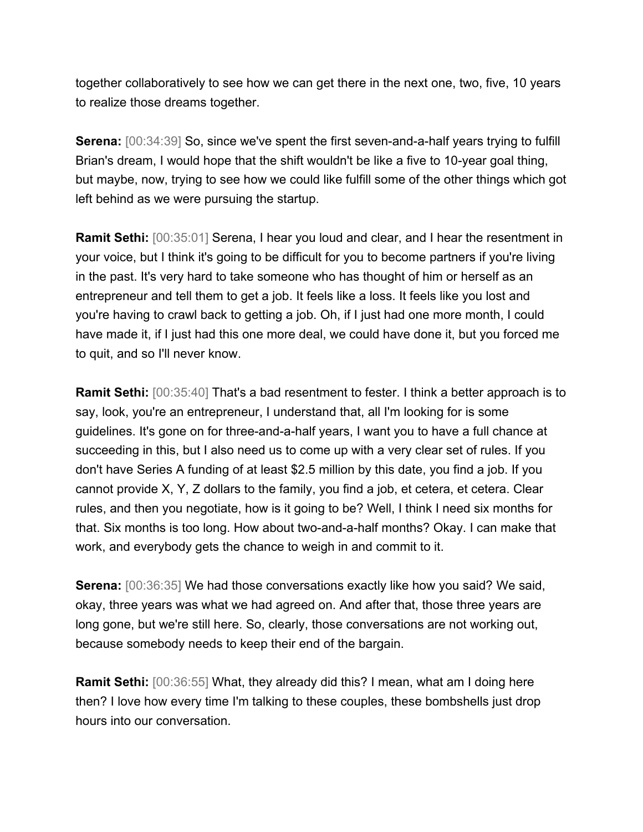together collaboratively to see how we can get there in the next one, two, five, 10 years to realize those dreams together.

**Serena:** [00:34:39] So, since we've spent the first seven-and-a-half years trying to fulfill Brian's dream, I would hope that the shift wouldn't be like a five to 10-year goal thing, but maybe, now, trying to see how we could like fulfill some of the other things which got left behind as we were pursuing the startup.

**Ramit Sethi:** [00:35:01] Serena, I hear you loud and clear, and I hear the resentment in your voice, but I think it's going to be difficult for you to become partners if you're living in the past. It's very hard to take someone who has thought of him or herself as an entrepreneur and tell them to get a job. It feels like a loss. It feels like you lost and you're having to crawl back to getting a job. Oh, if I just had one more month, I could have made it, if I just had this one more deal, we could have done it, but you forced me to quit, and so I'll never know.

**Ramit Sethi:** [00:35:40] That's a bad resentment to fester. I think a better approach is to say, look, you're an entrepreneur, I understand that, all I'm looking for is some guidelines. It's gone on for three-and-a-half years, I want you to have a full chance at succeeding in this, but I also need us to come up with a very clear set of rules. If you don't have Series A funding of at least \$2.5 million by this date, you find a job. If you cannot provide X, Y, Z dollars to the family, you find a job, et cetera, et cetera. Clear rules, and then you negotiate, how is it going to be? Well, I think I need six months for that. Six months is too long. How about two-and-a-half months? Okay. I can make that work, and everybody gets the chance to weigh in and commit to it.

**Serena:** [00:36:35] We had those conversations exactly like how you said? We said, okay, three years was what we had agreed on. And after that, those three years are long gone, but we're still here. So, clearly, those conversations are not working out, because somebody needs to keep their end of the bargain.

**Ramit Sethi:** [00:36:55] What, they already did this? I mean, what am I doing here then? I love how every time I'm talking to these couples, these bombshells just drop hours into our conversation.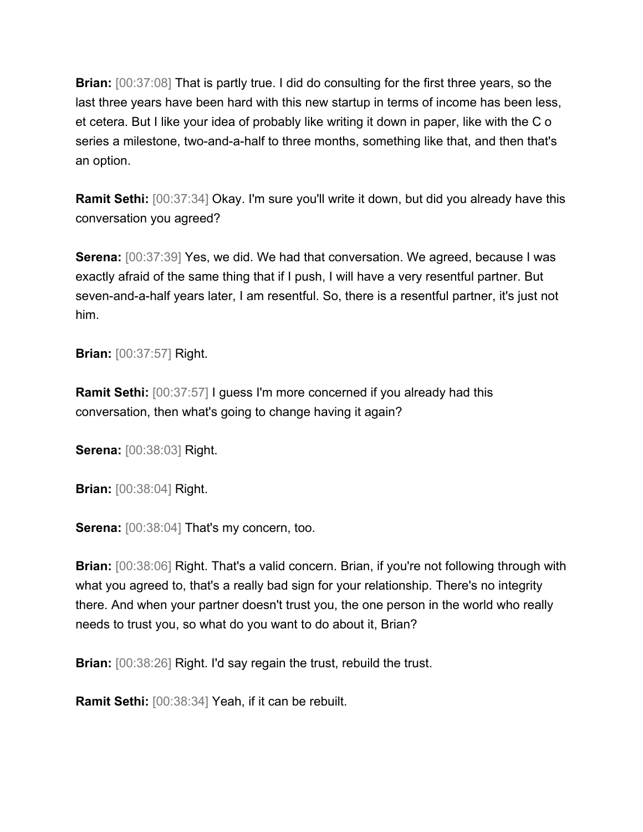**Brian:** [00:37:08] That is partly true. I did do consulting for the first three years, so the last three years have been hard with this new startup in terms of income has been less, et cetera. But I like your idea of probably like writing it down in paper, like with the C o series a milestone, two-and-a-half to three months, something like that, and then that's an option.

**Ramit Sethi:** [00:37:34] Okay. I'm sure you'll write it down, but did you already have this conversation you agreed?

**Serena:** [00:37:39] Yes, we did. We had that conversation. We agreed, because I was exactly afraid of the same thing that if I push, I will have a very resentful partner. But seven-and-a-half years later, I am resentful. So, there is a resentful partner, it's just not him.

**Brian:** [00:37:57] Right.

**Ramit Sethi:** [00:37:57] I guess I'm more concerned if you already had this conversation, then what's going to change having it again?

**Serena:** [00:38:03] Right.

**Brian:** [00:38:04] Right.

**Serena:** [00:38:04] That's my concern, too.

**Brian:** [00:38:06] Right. That's a valid concern. Brian, if you're not following through with what you agreed to, that's a really bad sign for your relationship. There's no integrity there. And when your partner doesn't trust you, the one person in the world who really needs to trust you, so what do you want to do about it, Brian?

**Brian:** [00:38:26] Right. I'd say regain the trust, rebuild the trust.

**Ramit Sethi:** [00:38:34] Yeah, if it can be rebuilt.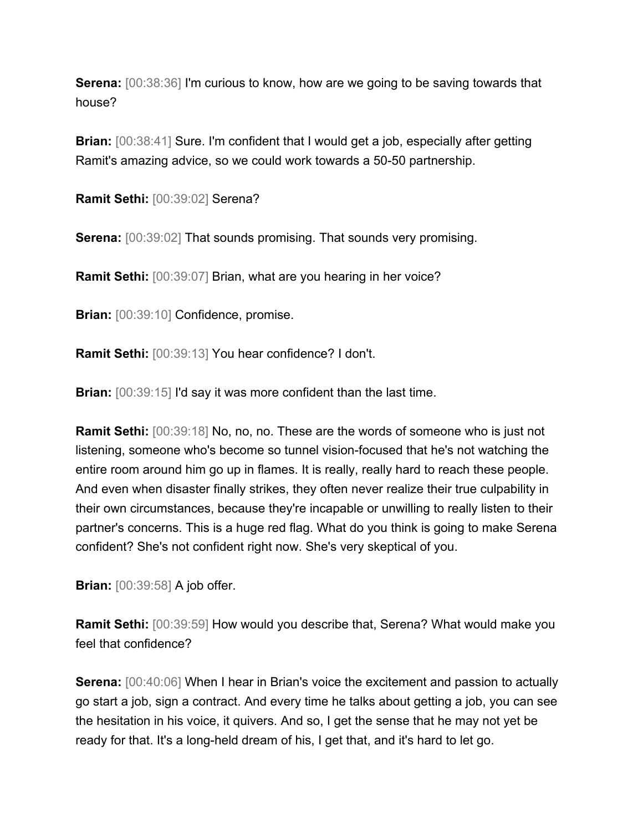**Serena:** [00:38:36] I'm curious to know, how are we going to be saving towards that house?

**Brian:**  $[00:38:41]$  Sure. I'm confident that I would get a job, especially after getting Ramit's amazing advice, so we could work towards a 50-50 partnership.

**Ramit Sethi:** [00:39:02] Serena?

**Serena:**  $[00:39:02]$  That sounds promising. That sounds very promising.

**Ramit Sethi:** [00:39:07] Brian, what are you hearing in her voice?

**Brian:** [00:39:10] Confidence, promise.

**Ramit Sethi:** [00:39:13] You hear confidence? I don't.

**Brian:** [00:39:15] I'd say it was more confident than the last time.

**Ramit Sethi:** [00:39:18] No, no, no. These are the words of someone who is just not listening, someone who's become so tunnel vision-focused that he's not watching the entire room around him go up in flames. It is really, really hard to reach these people. And even when disaster finally strikes, they often never realize their true culpability in their own circumstances, because they're incapable or unwilling to really listen to their partner's concerns. This is a huge red flag. What do you think is going to make Serena confident? She's not confident right now. She's very skeptical of you.

**Brian:** [00:39:58] A job offer.

**Ramit Sethi:** [00:39:59] How would you describe that, Serena? What would make you feel that confidence?

**Serena:** [00:40:06] When I hear in Brian's voice the excitement and passion to actually go start a job, sign a contract. And every time he talks about getting a job, you can see the hesitation in his voice, it quivers. And so, I get the sense that he may not yet be ready for that. It's a long-held dream of his, I get that, and it's hard to let go.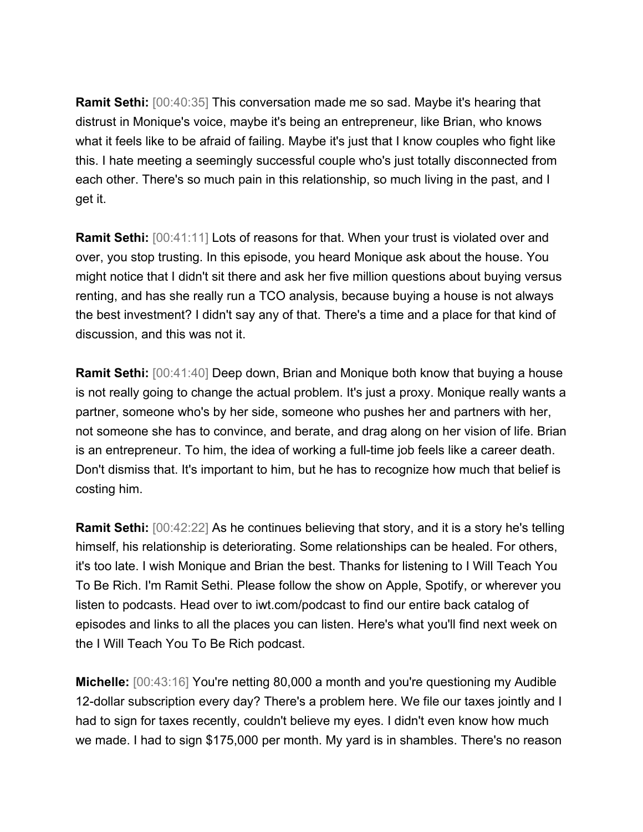**Ramit Sethi:** [00:40:35] This conversation made me so sad. Maybe it's hearing that distrust in Monique's voice, maybe it's being an entrepreneur, like Brian, who knows what it feels like to be afraid of failing. Maybe it's just that I know couples who fight like this. I hate meeting a seemingly successful couple who's just totally disconnected from each other. There's so much pain in this relationship, so much living in the past, and I get it.

**Ramit Sethi:** [00:41:11] Lots of reasons for that. When your trust is violated over and over, you stop trusting. In this episode, you heard Monique ask about the house. You might notice that I didn't sit there and ask her five million questions about buying versus renting, and has she really run a TCO analysis, because buying a house is not always the best investment? I didn't say any of that. There's a time and a place for that kind of discussion, and this was not it.

**Ramit Sethi:** [00:41:40] Deep down, Brian and Monique both know that buying a house is not really going to change the actual problem. It's just a proxy. Monique really wants a partner, someone who's by her side, someone who pushes her and partners with her, not someone she has to convince, and berate, and drag along on her vision of life. Brian is an entrepreneur. To him, the idea of working a full-time job feels like a career death. Don't dismiss that. It's important to him, but he has to recognize how much that belief is costing him.

**Ramit Sethi:** [00:42:22] As he continues believing that story, and it is a story he's telling himself, his relationship is deteriorating. Some relationships can be healed. For others, it's too late. I wish Monique and Brian the best. Thanks for listening to I Will Teach You To Be Rich. I'm Ramit Sethi. Please follow the show on Apple, Spotify, or wherever you listen to podcasts. Head over to iwt.com/podcast to find our entire back catalog of episodes and links to all the places you can listen. Here's what you'll find next week on the I Will Teach You To Be Rich podcast.

**Michelle:** [00:43:16] You're netting 80,000 a month and you're questioning my Audible 12-dollar subscription every day? There's a problem here. We file our taxes jointly and I had to sign for taxes recently, couldn't believe my eyes. I didn't even know how much we made. I had to sign \$175,000 per month. My yard is in shambles. There's no reason